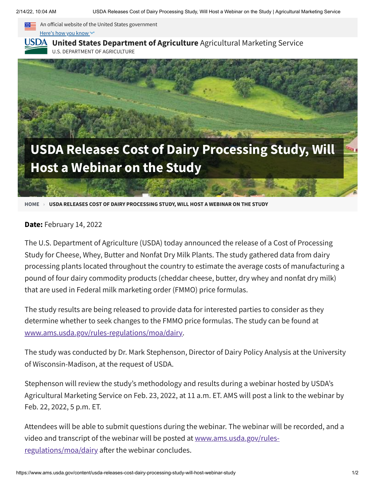

Here's how you know ~~

## **USDA** United States [Department](https://www.ams.usda.gov/) of Agriculture Agricultural Marketing Service

U.S. DEPARTMENT OF AGRICULTURE



**[HOME](https://www.ams.usda.gov/) › USDA RELEASES COST OF DAIRY PROCESSING STUDY, WILL HOST A WEBINAR ON THE STUDY**

## **Date:** February 14, 2022

The U.S. Department of Agriculture (USDA) today announced the release of a Cost of Processing Study for Cheese, Whey, Butter and Nonfat Dry Milk Plants. The study gathered data from dairy processing plants located throughout the country to estimate the average costs of manufacturing a pound of four dairy commodity products (cheddar cheese, butter, dry whey and nonfat dry milk) that are used in Federal milk marketing order (FMMO) price formulas.

The study results are being released to provide data for interested parties to consider as they determine whether to seek changes to the FMMO price formulas. The study can be found at [www.ams.usda.gov/rules-regulations/moa/dairy](https://www.ams.usda.gov/rules-regulations/moa/dairy).

The study was conducted by Dr. Mark Stephenson, Director of Dairy Policy Analysis at the University of Wisconsin-Madison, at the request of USDA.

Stephenson will review the study's methodology and results during a webinar hosted by USDA's Agricultural Marketing Service on Feb. 23, 2022, at 11 a.m. ET. AMS will post a link to the webinar by Feb. 22, 2022, 5 p.m. ET.

Attendees will be able to submit questions during the webinar. The webinar will be recorded, and a video and transcript of the webinar will be posted at [www.ams.usda.gov/rules](https://www.ams.usda.gov/rules-regulations/moa/dairy)regulations/moa/dairy after the webinar concludes.